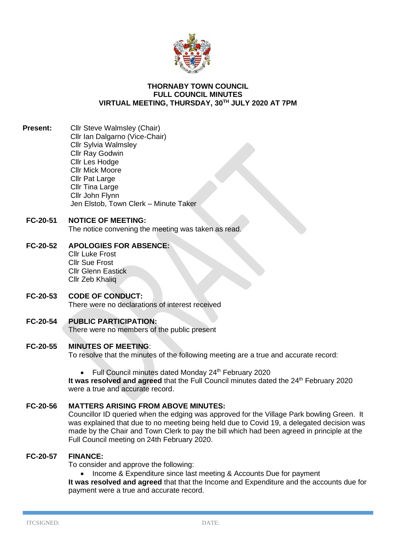

#### **THORNABY TOWN COUNCIL FULL COUNCIL MINUTES VIRTUAL MEETING, THURSDAY, 30TH JULY 2020 AT 7PM**

**Present:** Cllr Steve Walmsley (Chair) Cllr Ian Dalgarno (Vice-Chair) Cllr Sylvia Walmsley Cllr Ray Godwin Cllr Les Hodge Cllr Mick Moore **Cllr Pat Large** Cllr Tina Large Cllr John Flynn Jen Elstob, Town Clerk – Minute Taker

# **FC-20-51 NOTICE OF MEETING:**

The notice convening the meeting was taken as read.

#### **FC-20-52 APOLOGIES FOR ABSENCE:** Cllr Luke Frost

Cllr Sue Frost Cllr Glenn Eastick Cllr Zeb Khaliq

#### **FC-20-53 CODE OF CONDUCT:** There were no declarations of interest received

**FC-20-54 PUBLIC PARTICIPATION:**

There were no members of the public present

# **FC-20-55 MINUTES OF MEETING**:

To resolve that the minutes of the following meeting are a true and accurate record:

• Full Council minutes dated Monday 24<sup>th</sup> February 2020

It was resolved and agreed that the Full Council minutes dated the 24<sup>th</sup> February 2020 were a true and accurate record.

# **FC-20-56 MATTERS ARISING FROM ABOVE MINUTES:**

Councillor ID queried when the edging was approved for the Village Park bowling Green. It was explained that due to no meeting being held due to Covid 19, a delegated decision was made by the Chair and Town Clerk to pay the bill which had been agreed in principle at the Full Council meeting on 24th February 2020.

#### **FC-20-57 FINANCE:**

To consider and approve the following:

• Income & Expenditure since last meeting & Accounts Due for payment

**It was resolved and agreed** that that the Income and Expenditure and the accounts due for payment were a true and accurate record.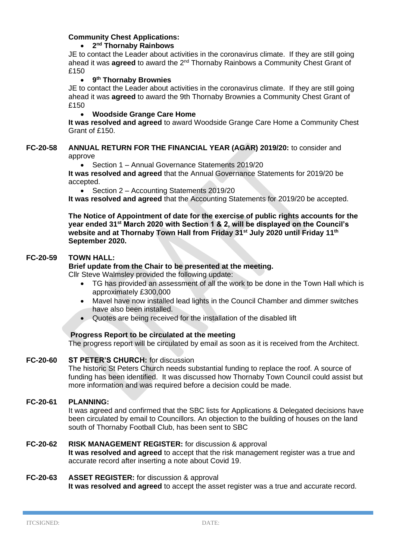# **Community Chest Applications:**

# • **2 nd Thornaby Rainbows**

JE to contact the Leader about activities in the coronavirus climate. If they are still going ahead it was **agreed** to award the 2<sup>nd</sup> Thornaby Rainbows a Community Chest Grant of £150

#### • **9 th Thornaby Brownies**

JE to contact the Leader about activities in the coronavirus climate. If they are still going ahead it was **agreed** to award the 9th Thornaby Brownies a Community Chest Grant of £150

#### • **Woodside Grange Care Home**

**It was resolved and agreed** to award Woodside Grange Care Home a Community Chest Grant of £150.

#### **FC-20-58 ANNUAL RETURN FOR THE FINANCIAL YEAR (AGAR) 2019/20:** to consider and approve

• Section 1 – Annual Governance Statements 2019/20

**It was resolved and agreed** that the Annual Governance Statements for 2019/20 be accepted.

• Section 2 – Accounting Statements 2019/20

**It was resolved and agreed** that the Accounting Statements for 2019/20 be accepted.

**The Notice of Appointment of date for the exercise of public rights accounts for the year ended 31st March 2020 with Section 1 & 2, will be displayed on the Council's website and at Thornaby Town Hall from Friday 31st July 2020 until Friday 11th September 2020.**

# **FC-20-59 TOWN HALL:**

**Brief update from the Chair to be presented at the meeting.**

Cllr Steve Walmsley provided the following update:

- TG has provided an assessment of all the work to be done in the Town Hall which is approximately £300,000
- Mavel have now installed lead lights in the Council Chamber and dimmer switches have also been installed.
- Quotes are being received for the installation of the disabled lift

# **Progress Report to be circulated at the meeting**

The progress report will be circulated by email as soon as it is received from the Architect.

# **FC-20-60 ST PETER'S CHURCH:** for discussion

The historic St Peters Church needs substantial funding to replace the roof. A source of funding has been identified. It was discussed how Thornaby Town Council could assist but more information and was required before a decision could be made.

# **FC-20-61 PLANNING:**

It was agreed and confirmed that the SBC lists for Applications & Delegated decisions have been circulated by email to Councillors. An objection to the building of houses on the land south of Thornaby Football Club, has been sent to SBC

# **FC-20-62 RISK MANAGEMENT REGISTER:** for discussion & approval

**It was resolved and agreed** to accept that the risk management register was a true and accurate record after inserting a note about Covid 19.

#### **FC-20-63 ASSET REGISTER:** for discussion & approval

**It was resolved and agreed** to accept the asset register was a true and accurate record.